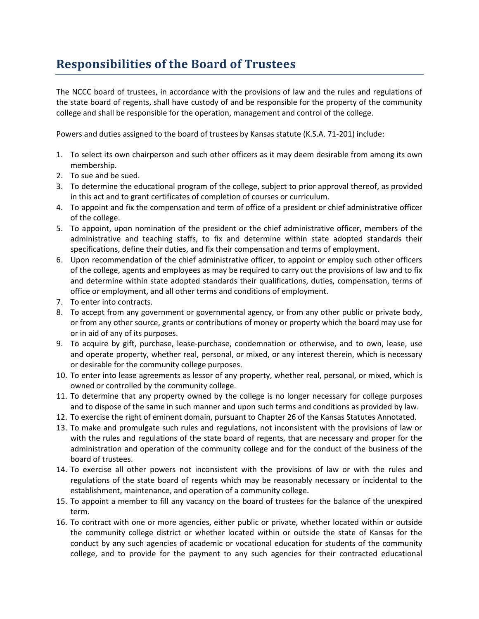## **Responsibilities of the Board of Trustees**

The NCCC board of trustees, in accordance with the provisions of law and the rules and regulations of the state board of regents, shall have custody of and be responsible for the property of the community college and shall be responsible for the operation, management and control of the college.

Powers and duties assigned to the board of trustees by Kansas statute (K.S.A. 71-201) include:

- 1. To select its own chairperson and such other officers as it may deem desirable from among its own membership.
- 2. To sue and be sued.
- 3. To determine the educational program of the college, subject to prior approval thereof, as provided in this act and to grant certificates of completion of courses or curriculum.
- 4. To appoint and fix the compensation and term of office of a president or chief administrative officer of the college.
- 5. To appoint, upon nomination of the president or the chief administrative officer, members of the administrative and teaching staffs, to fix and determine within state adopted standards their specifications, define their duties, and fix their compensation and terms of employment.
- 6. Upon recommendation of the chief administrative officer, to appoint or employ such other officers of the college, agents and employees as may be required to carry out the provisions of law and to fix and determine within state adopted standards their qualifications, duties, compensation, terms of office or employment, and all other terms and conditions of employment.
- 7. To enter into contracts.
- 8. To accept from any government or governmental agency, or from any other public or private body, or from any other source, grants or contributions of money or property which the board may use for or in aid of any of its purposes.
- 9. To acquire by gift, purchase, lease-purchase, condemnation or otherwise, and to own, lease, use and operate property, whether real, personal, or mixed, or any interest therein, which is necessary or desirable for the community college purposes.
- 10. To enter into lease agreements as lessor of any property, whether real, personal, or mixed, which is owned or controlled by the community college.
- 11. To determine that any property owned by the college is no longer necessary for college purposes and to dispose of the same in such manner and upon such terms and conditions as provided by law.
- 12. To exercise the right of eminent domain, pursuant to Chapter 26 of the Kansas Statutes Annotated.
- 13. To make and promulgate such rules and regulations, not inconsistent with the provisions of law or with the rules and regulations of the state board of regents, that are necessary and proper for the administration and operation of the community college and for the conduct of the business of the board of trustees.
- 14. To exercise all other powers not inconsistent with the provisions of law or with the rules and regulations of the state board of regents which may be reasonably necessary or incidental to the establishment, maintenance, and operation of a community college.
- 15. To appoint a member to fill any vacancy on the board of trustees for the balance of the unexpired term.
- 16. To contract with one or more agencies, either public or private, whether located within or outside the community college district or whether located within or outside the state of Kansas for the conduct by any such agencies of academic or vocational education for students of the community college, and to provide for the payment to any such agencies for their contracted educational